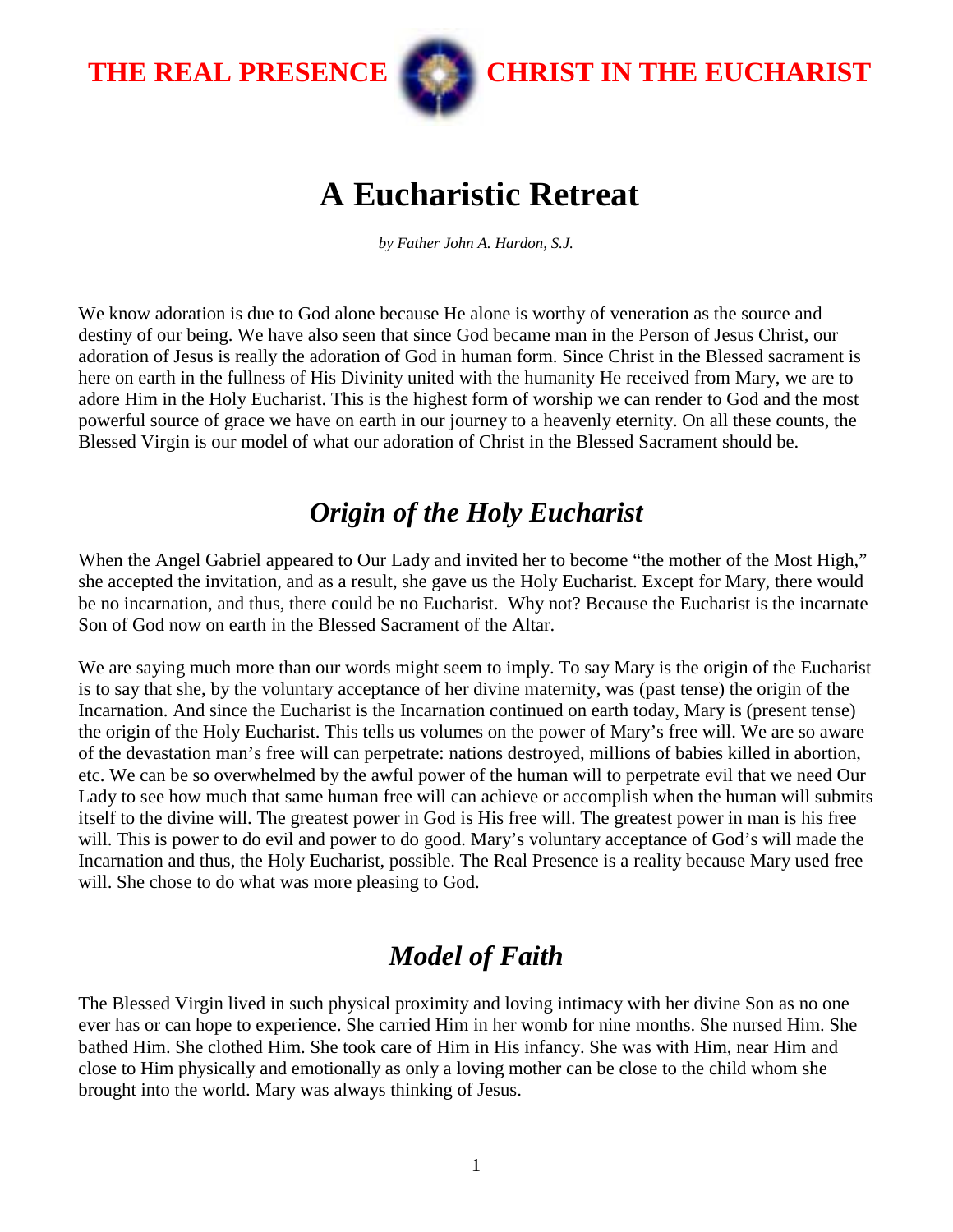

## **A Eucharistic Retreat**

*by Father John A. Hardon, S.J.* 

We know adoration is due to God alone because He alone is worthy of veneration as the source and destiny of our being. We have also seen that since God became man in the Person of Jesus Christ, our adoration of Jesus is really the adoration of God in human form. Since Christ in the Blessed sacrament is here on earth in the fullness of His Divinity united with the humanity He received from Mary, we are to adore Him in the Holy Eucharist. This is the highest form of worship we can render to God and the most powerful source of grace we have on earth in our journey to a heavenly eternity. On all these counts, the Blessed Virgin is our model of what our adoration of Christ in the Blessed Sacrament should be.

## *Origin of the Holy Eucharist*

When the Angel Gabriel appeared to Our Lady and invited her to become "the mother of the Most High," she accepted the invitation, and as a result, she gave us the Holy Eucharist. Except for Mary, there would be no incarnation, and thus, there could be no Eucharist. Why not? Because the Eucharist is the incarnate Son of God now on earth in the Blessed Sacrament of the Altar.

We are saying much more than our words might seem to imply. To say Mary is the origin of the Eucharist is to say that she, by the voluntary acceptance of her divine maternity, was (past tense) the origin of the Incarnation. And since the Eucharist is the Incarnation continued on earth today, Mary is (present tense) the origin of the Holy Eucharist. This tells us volumes on the power of Mary's free will. We are so aware of the devastation man's free will can perpetrate: nations destroyed, millions of babies killed in abortion, etc. We can be so overwhelmed by the awful power of the human will to perpetrate evil that we need Our Lady to see how much that same human free will can achieve or accomplish when the human will submits itself to the divine will. The greatest power in God is His free will. The greatest power in man is his free will. This is power to do evil and power to do good. Mary's voluntary acceptance of God's will made the Incarnation and thus, the Holy Eucharist, possible. The Real Presence is a reality because Mary used free will. She chose to do what was more pleasing to God.

## *Model of Faith*

The Blessed Virgin lived in such physical proximity and loving intimacy with her divine Son as no one ever has or can hope to experience. She carried Him in her womb for nine months. She nursed Him. She bathed Him. She clothed Him. She took care of Him in His infancy. She was with Him, near Him and close to Him physically and emotionally as only a loving mother can be close to the child whom she brought into the world. Mary was always thinking of Jesus.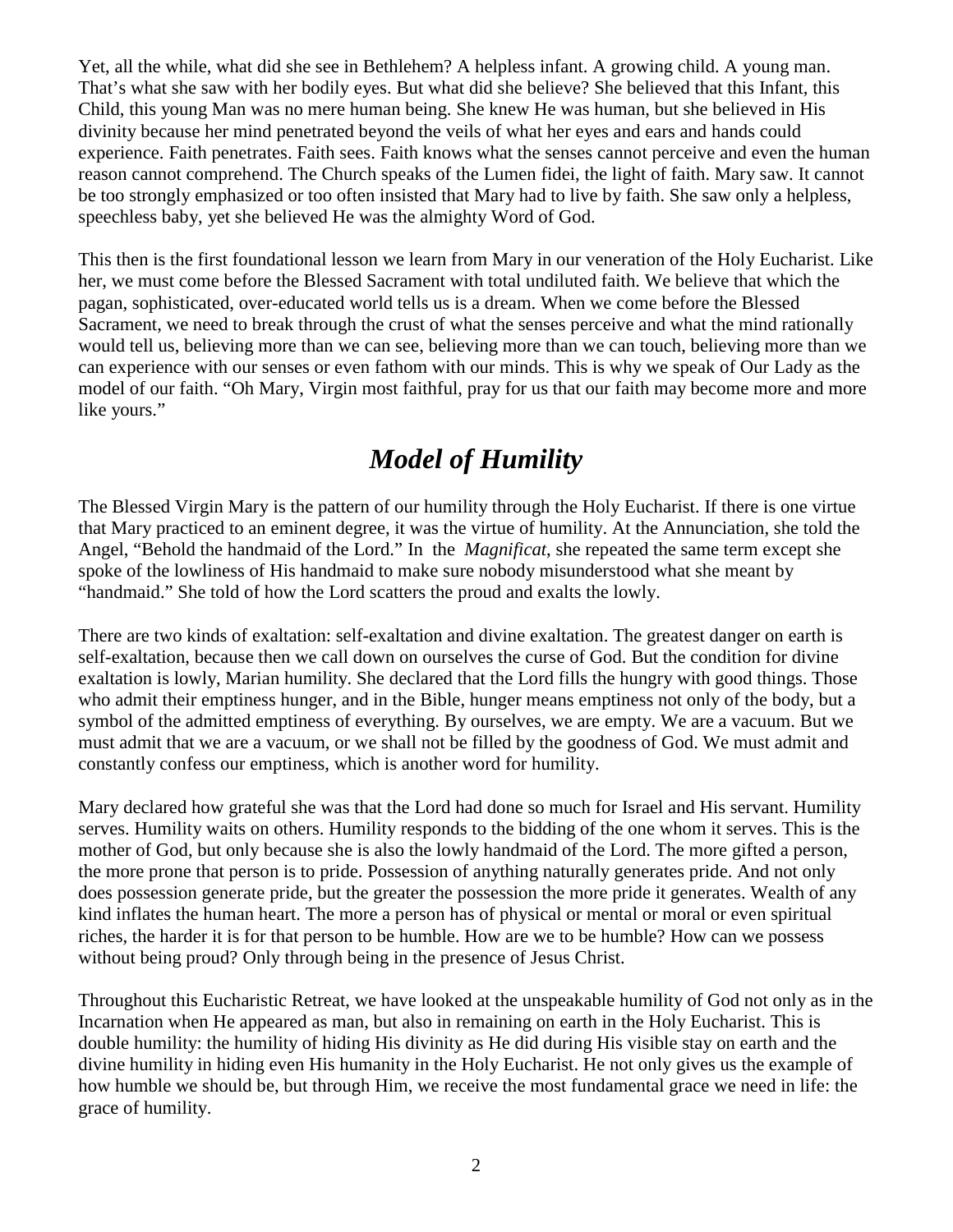Yet, all the while, what did she see in Bethlehem? A helpless infant. A growing child. A young man. That's what she saw with her bodily eyes. But what did she believe? She believed that this Infant, this Child, this young Man was no mere human being. She knew He was human, but she believed in His divinity because her mind penetrated beyond the veils of what her eyes and ears and hands could experience. Faith penetrates. Faith sees. Faith knows what the senses cannot perceive and even the human reason cannot comprehend. The Church speaks of the Lumen fidei, the light of faith. Mary saw. It cannot be too strongly emphasized or too often insisted that Mary had to live by faith. She saw only a helpless, speechless baby, yet she believed He was the almighty Word of God.

This then is the first foundational lesson we learn from Mary in our veneration of the Holy Eucharist. Like her, we must come before the Blessed Sacrament with total undiluted faith. We believe that which the pagan, sophisticated, over-educated world tells us is a dream. When we come before the Blessed Sacrament, we need to break through the crust of what the senses perceive and what the mind rationally would tell us, believing more than we can see, believing more than we can touch, believing more than we can experience with our senses or even fathom with our minds. This is why we speak of Our Lady as the model of our faith. "Oh Mary, Virgin most faithful, pray for us that our faith may become more and more like yours."

## *Model of Humility*

The Blessed Virgin Mary is the pattern of our humility through the Holy Eucharist. If there is one virtue that Mary practiced to an eminent degree, it was the virtue of humility. At the Annunciation, she told the Angel, "Behold the handmaid of the Lord." In the *Magnificat*, she repeated the same term except she spoke of the lowliness of His handmaid to make sure nobody misunderstood what she meant by "handmaid." She told of how the Lord scatters the proud and exalts the lowly.

There are two kinds of exaltation: self-exaltation and divine exaltation. The greatest danger on earth is self-exaltation, because then we call down on ourselves the curse of God. But the condition for divine exaltation is lowly, Marian humility. She declared that the Lord fills the hungry with good things. Those who admit their emptiness hunger, and in the Bible, hunger means emptiness not only of the body, but a symbol of the admitted emptiness of everything. By ourselves, we are empty. We are a vacuum. But we must admit that we are a vacuum, or we shall not be filled by the goodness of God. We must admit and constantly confess our emptiness, which is another word for humility.

Mary declared how grateful she was that the Lord had done so much for Israel and His servant. Humility serves. Humility waits on others. Humility responds to the bidding of the one whom it serves. This is the mother of God, but only because she is also the lowly handmaid of the Lord. The more gifted a person, the more prone that person is to pride. Possession of anything naturally generates pride. And not only does possession generate pride, but the greater the possession the more pride it generates. Wealth of any kind inflates the human heart. The more a person has of physical or mental or moral or even spiritual riches, the harder it is for that person to be humble. How are we to be humble? How can we possess without being proud? Only through being in the presence of Jesus Christ.

Throughout this Eucharistic Retreat, we have looked at the unspeakable humility of God not only as in the Incarnation when He appeared as man, but also in remaining on earth in the Holy Eucharist. This is double humility: the humility of hiding His divinity as He did during His visible stay on earth and the divine humility in hiding even His humanity in the Holy Eucharist. He not only gives us the example of how humble we should be, but through Him, we receive the most fundamental grace we need in life: the grace of humility.